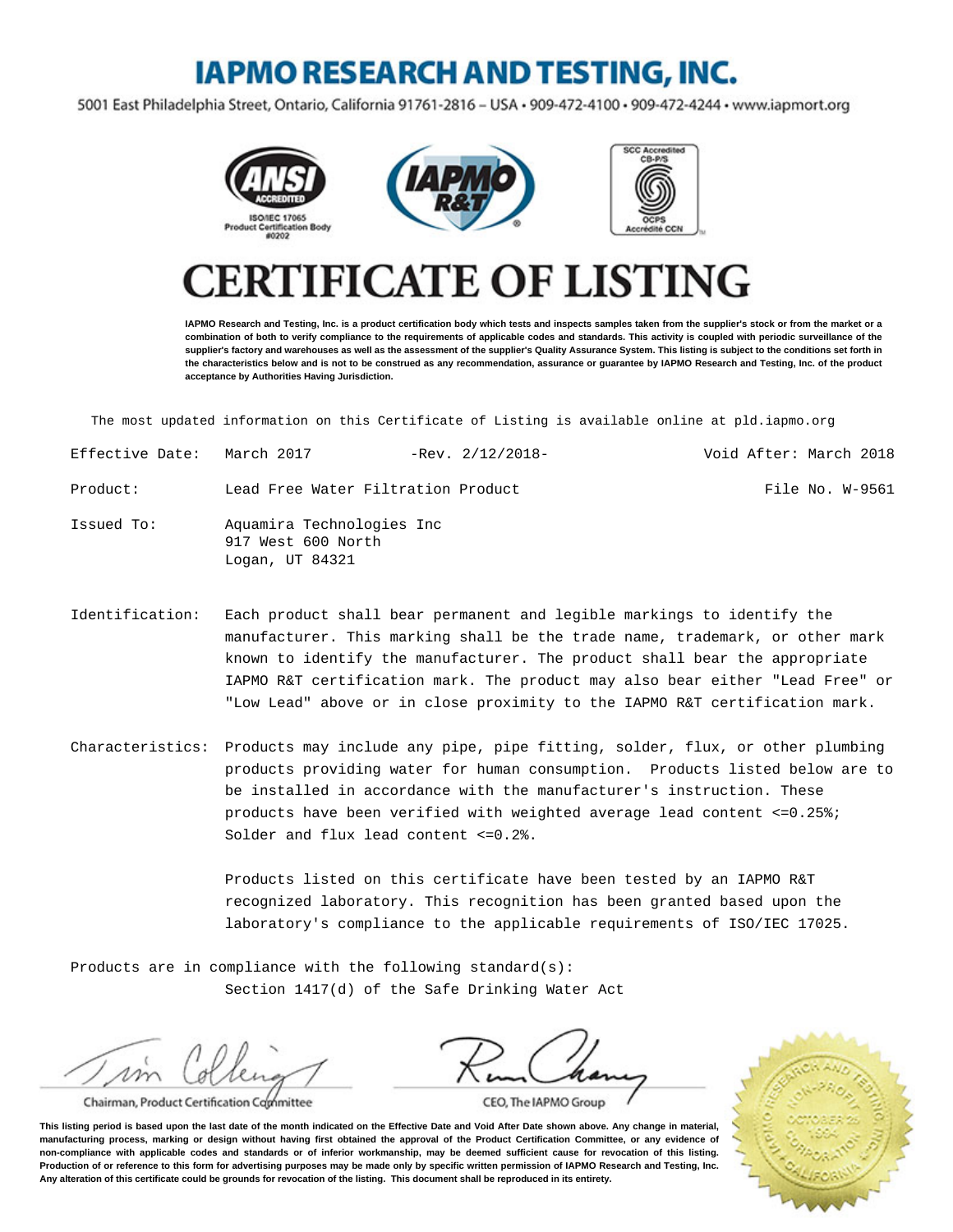# **IAPMO RESEARCH AND TESTING, INC.**

5001 East Philadelphia Street, Ontario, California 91761-2816 - USA · 909-472-4100 · 909-472-4244 · www.iapmort.org







# **CATE OF LISTING**

**IAPMO Research and Testing, Inc. is a product certification body which tests and inspects samples taken from the supplier's stock or from the market or a combination of both to verify compliance to the requirements of applicable codes and standards. This activity is coupled with periodic surveillance of the supplier's factory and warehouses as well as the assessment of the supplier's Quality Assurance System. This listing is subject to the conditions set forth in the characteristics below and is not to be construed as any recommendation, assurance or guarantee by IAPMO Research and Testing, Inc. of the product acceptance by Authorities Having Jurisdiction.**

The most updated information on this Certificate of Listing is available online at pld.iapmo.org

| Effective Date: | March 2017                         | $-$ Rev. $2/12/2018-$ |  | Void After: March 2018 |
|-----------------|------------------------------------|-----------------------|--|------------------------|
| Product:        | Lead Free Water Filtration Product |                       |  | File No. W-9561        |

- Issued To: Aquamira Technologies Inc 917 West 600 North Logan, UT 84321
- Identification: Each product shall bear permanent and legible markings to identify the manufacturer. This marking shall be the trade name, trademark, or other mark known to identify the manufacturer. The product shall bear the appropriate IAPMO R&T certification mark. The product may also bear either "Lead Free" or "Low Lead" above or in close proximity to the IAPMO R&T certification mark.
- Characteristics: Products may include any pipe, pipe fitting, solder, flux, or other plumbing products providing water for human consumption. Products listed below are to be installed in accordance with the manufacturer's instruction. These products have been verified with weighted average lead content  $\leq 0.25\$ ; Solder and flux lead content <=0.2%.

Products listed on this certificate have been tested by an IAPMO R&T recognized laboratory. This recognition has been granted based upon the laboratory's compliance to the applicable requirements of ISO/IEC 17025.

Products are in compliance with the following standard(s): Section 1417(d) of the Safe Drinking Water Act

w

Chairman, Product Certification Committee



CEO, The IAPMO Group

**This listing period is based upon the last date of the month indicated on the Effective Date and Void After Date shown above. Any change in material, manufacturing process, marking or design without having first obtained the approval of the Product Certification Committee, or any evidence of non-compliance with applicable codes and standards or of inferior workmanship, may be deemed sufficient cause for revocation of this listing. Production of or reference to this form for advertising purposes may be made only by specific written permission of IAPMO Research and Testing, Inc. Any alteration of this certificate could be grounds for revocation of the listing. This document shall be reproduced in its entirety.**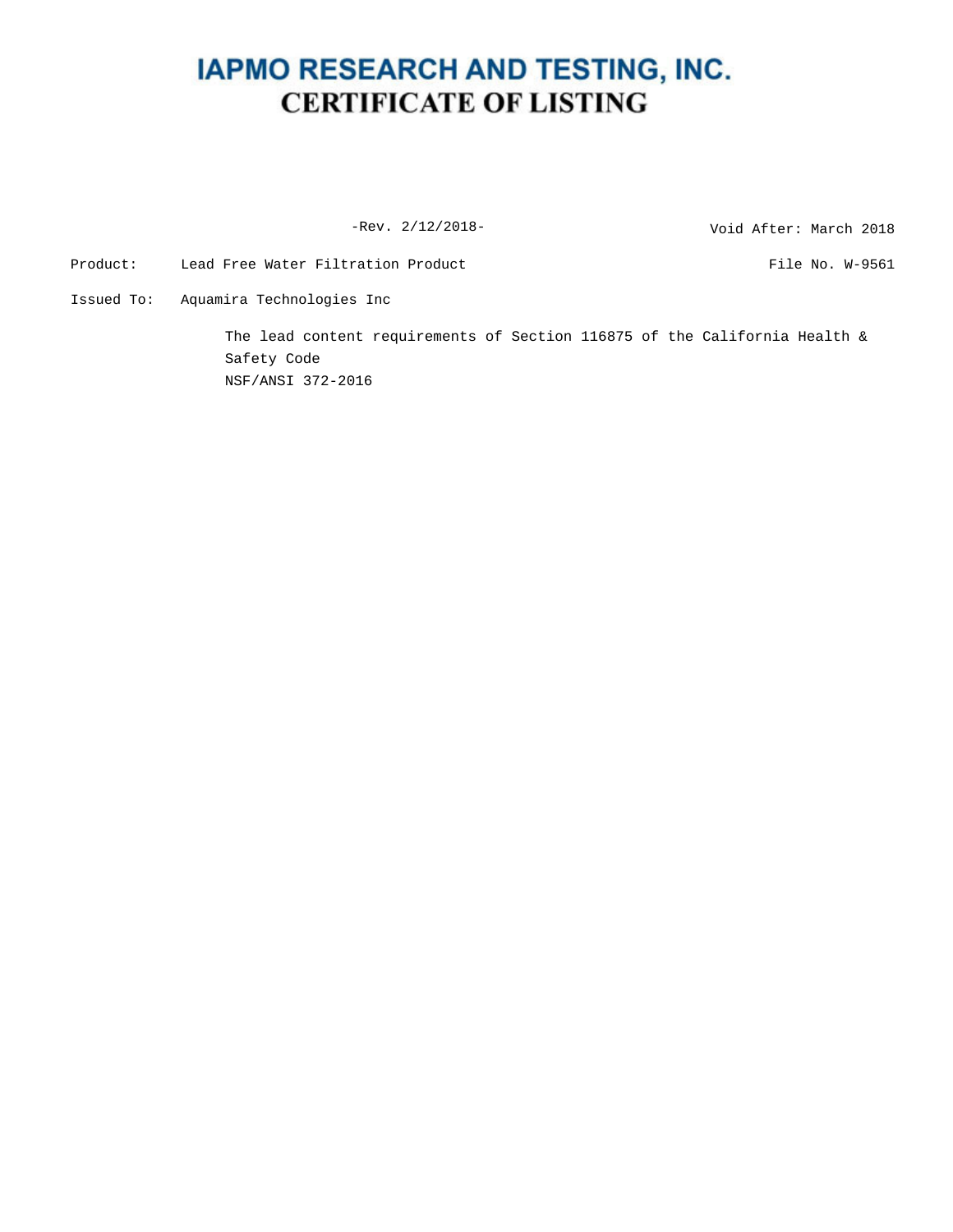## **IAPMO RESEARCH AND TESTING, INC. CERTIFICATE OF LISTING**

-Rev. 2/12/2018-<br>
Void After: March 2018

Product: Lead Free Water Filtration Product The Mondon Richard Rile No. W-9561

Issued To: Aquamira Technologies Inc

The lead content requirements of Section 116875 of the California Health & Safety Code NSF/ANSI 372-2016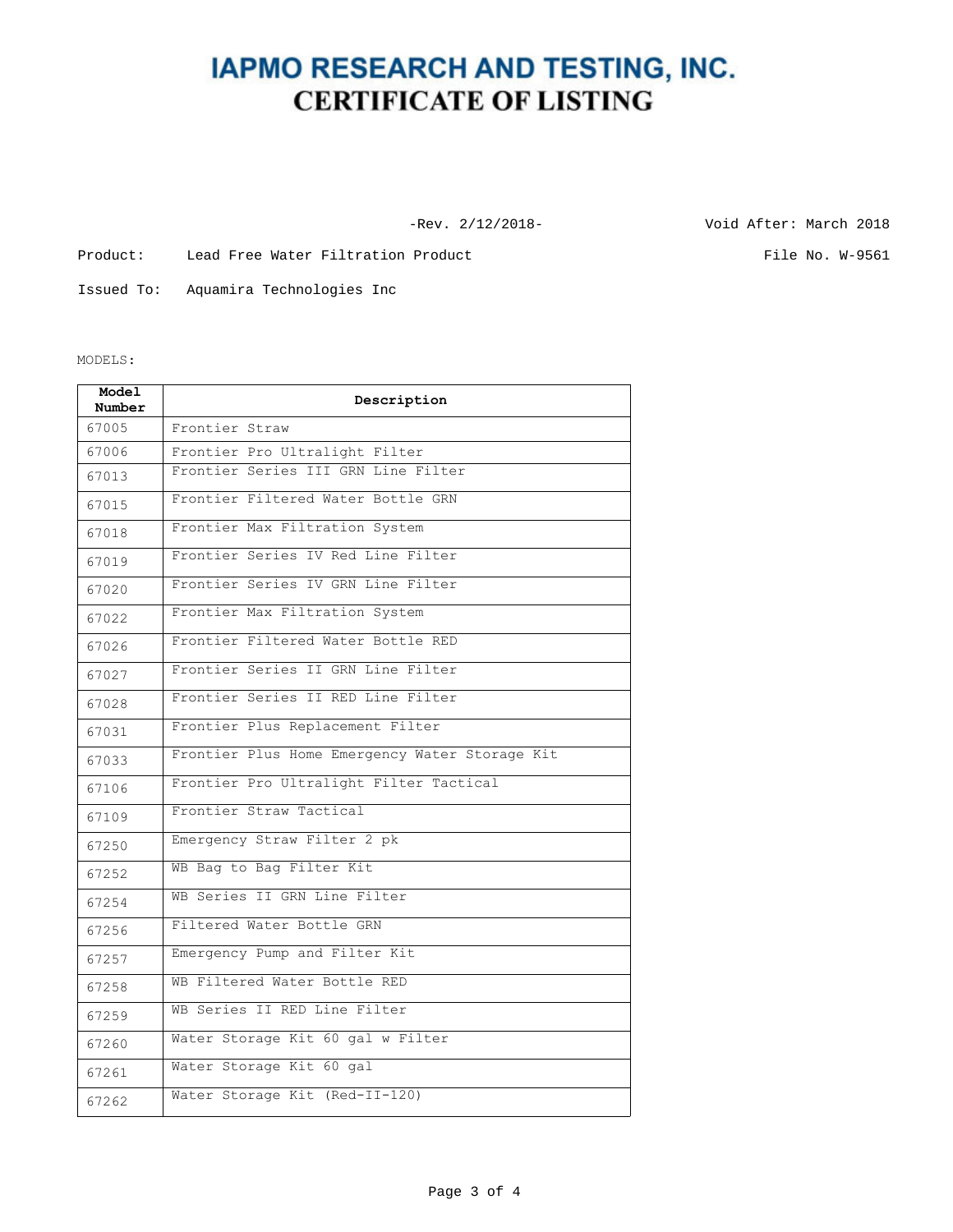### **IAPMO RESEARCH AND TESTING, INC. CERTIFICATE OF LISTING**

-Rev. 2/12/2018- Void After: March 2018

Product: Lead Free Water Filtration Product File No. W-9561

Issued To: Aquamira Technologies Inc

MODELS:

| Model<br>Number | Description                                    |  |  |  |
|-----------------|------------------------------------------------|--|--|--|
| 67005           | Frontier Straw                                 |  |  |  |
| 67006           | Frontier Pro Ultralight Filter                 |  |  |  |
| 67013           | Frontier Series III GRN Line Filter            |  |  |  |
| 67015           | Frontier Filtered Water Bottle GRN             |  |  |  |
| 67018           | Frontier Max Filtration System                 |  |  |  |
| 67019           | Frontier Series IV Red Line Filter             |  |  |  |
| 67020           | Frontier Series IV GRN Line Filter             |  |  |  |
| 67022           | Frontier Max Filtration System                 |  |  |  |
| 67026           | Frontier Filtered Water Bottle RED             |  |  |  |
| 67027           | Frontier Series II GRN Line Filter             |  |  |  |
| 67028           | Frontier Series II RED Line Filter             |  |  |  |
| 67031           | Frontier Plus Replacement Filter               |  |  |  |
| 67033           | Frontier Plus Home Emergency Water Storage Kit |  |  |  |
| 67106           | Frontier Pro Ultralight Filter Tactical        |  |  |  |
| 67109           | Frontier Straw Tactical                        |  |  |  |
| 67250           | Emergency Straw Filter 2 pk                    |  |  |  |
| 67252           | WB Bag to Bag Filter Kit                       |  |  |  |
| 67254           | WB Series II GRN Line Filter                   |  |  |  |
| 67256           | Filtered Water Bottle GRN                      |  |  |  |
| 67257           | Emergency Pump and Filter Kit                  |  |  |  |
| 67258           | WB Filtered Water Bottle RED                   |  |  |  |
| 67259           | WB Series II RED Line Filter                   |  |  |  |
| 67260           | Water Storage Kit 60 gal w Filter              |  |  |  |
| 67261           | Water Storage Kit 60 gal                       |  |  |  |
| 67262           | Water Storage Kit (Red-II-120)                 |  |  |  |